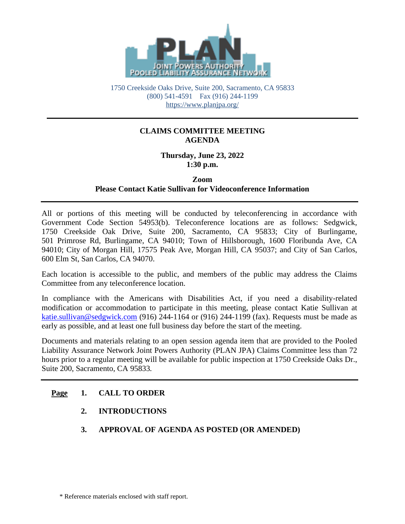

1750 Creekside Oaks Drive, Suite 200, Sacramento, CA 95833 (800) 541-4591 Fax (916) 244-1199 <https://www.planjpa.org/>

### **CLAIMS COMMITTEE MEETING AGENDA**

**Thursday, June 23, 2022 1:30 p.m.**

**Zoom**

### **Please Contact Katie Sullivan for Videoconference Information**

All or portions of this meeting will be conducted by teleconferencing in accordance with Government Code Section 54953(b). Teleconference locations are as follows: Sedgwick, 1750 Creekside Oak Drive, Suite 200, Sacramento, CA 95833; City of Burlingame, 501 Primrose Rd, Burlingame, CA 94010; Town of Hillsborough, 1600 Floribunda Ave, CA 94010; City of Morgan Hill, 17575 Peak Ave, Morgan Hill, CA 95037; and City of San Carlos, 600 Elm St, San Carlos, CA 94070.

Each location is accessible to the public, and members of the public may address the Claims Committee from any teleconference location.

In compliance with the Americans with Disabilities Act, if you need a disability-related modification or accommodation to participate in this meeting, please contact Katie Sullivan at [katie.sullivan@sedgwick.com](mailto:katie.sullivan@sedgwick.com) (916) 244-1164 or (916) 244-1199 (fax). Requests must be made as early as possible, and at least one full business day before the start of the meeting.

Documents and materials relating to an open session agenda item that are provided to the Pooled Liability Assurance Network Joint Powers Authority (PLAN JPA) Claims Committee less than 72 hours prior to a regular meeting will be available for public inspection at 1750 Creekside Oaks Dr., Suite 200, Sacramento, CA 95833*.*

# **Page 1. CALL TO ORDER**

- **2. INTRODUCTIONS**
- **3. APPROVAL OF AGENDA AS POSTED (OR AMENDED)**

\* Reference materials enclosed with staff report.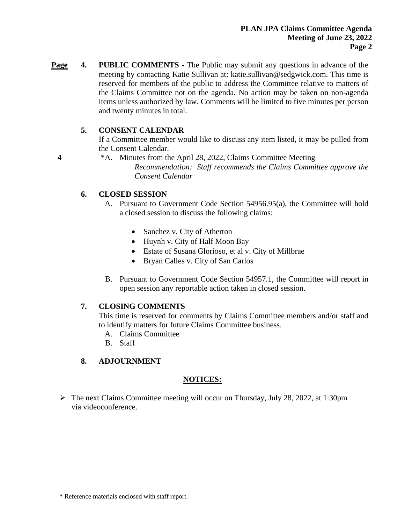**Page 4. PUBLIC COMMENTS** - The Public may submit any questions in advance of the meeting by contacting Katie Sullivan at: katie.sullivan@sedgwick.com. This time is reserved for members of the public to address the Committee relative to matters of the Claims Committee not on the agenda. No action may be taken on non-agenda items unless authorized by law. Comments will be limited to five minutes per person and twenty minutes in total.

### **5. CONSENT CALENDAR**

If a Committee member would like to discuss any item listed, it may be pulled from the Consent Calendar.

**4** \*A. Minutes from the April 28, 2022, Claims Committee Meeting

*Recommendation: Staff recommends the Claims Committee approve the Consent Calendar*

### **6. CLOSED SESSION**

- A. Pursuant to Government Code Section 54956.95(a), the Committee will hold a closed session to discuss the following claims:
	- Sanchez v. City of Atherton
	- Huynh v. City of Half Moon Bay
	- Estate of Susana Glorioso, et al v. City of Millbrae
	- Bryan Calles v. City of San Carlos
- B. Pursuant to Government Code Section 54957.1, the Committee will report in open session any reportable action taken in closed session.

### **7. CLOSING COMMENTS**

This time is reserved for comments by Claims Committee members and/or staff and to identify matters for future Claims Committee business.

- A. Claims Committee
- B. Staff
- **8. ADJOURNMENT**

#### **NOTICES:**

➢ The next Claims Committee meeting will occur on Thursday, July 28, 2022, at 1:30pm via videoconference.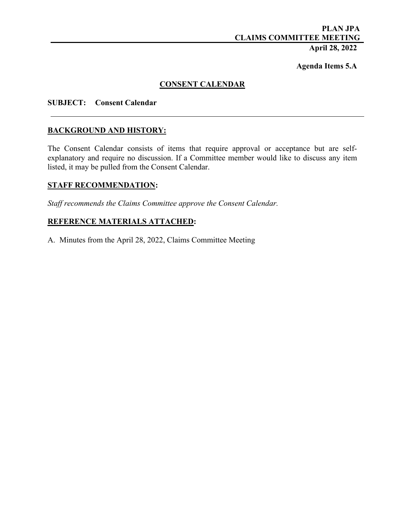# **PLAN JPA CLAIMS COMMITTEE MEETING**

# **April 28, 2022**

**Agenda Items 5.A**

### **CONSENT CALENDAR**

#### **SUBJECT: Consent Calendar**

#### **BACKGROUND AND HISTORY:**

The Consent Calendar consists of items that require approval or acceptance but are selfexplanatory and require no discussion. If a Committee member would like to discuss any item listed, it may be pulled from the Consent Calendar.

#### **STAFF RECOMMENDATION:**

*Staff recommends the Claims Committee approve the Consent Calendar.*

### **REFERENCE MATERIALS ATTACHED:**

A. Minutes from the April 28, 2022, Claims Committee Meeting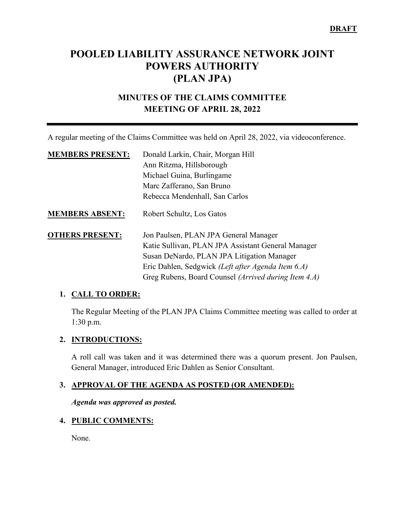# **POOLED LIABILITY ASSURANCE NETWORK JOINT POWERS AUTHORITY (PLAN JPA)**

# **MINUTES OF THE CLAIMS COMMITTEE MEETING OF APRIL 28, 2022**

A regular meeting of the Claims Committee was held on April 28, 2022, via videoconference.

| <b>MEMBERS PRESENT:</b> | Donald Larkin, Chair, Morgan Hill                    |
|-------------------------|------------------------------------------------------|
|                         | Ann Ritzma, Hillsborough                             |
|                         | Michael Guina, Burlingame                            |
|                         | Marc Zafferano, San Bruno                            |
|                         | Rebecca Mendenhall, San Carlos                       |
| <b>MEMBERS ABSENT:</b>  | Robert Schultz, Los Gatos                            |
| <b>OTHERS PRESENT:</b>  | Jon Paulsen, PLAN JPA General Manager                |
|                         | Katie Sullivan, PLAN JPA Assistant General Manager   |
|                         | Susan DeNardo, PLAN JPA Litigation Manager           |
|                         | Eric Dahlen, Sedgwick (Left after Agenda Item 6.A)   |
|                         | Greg Rubens, Board Counsel (Arrived during Item 4.A) |

#### **1. CALL TO ORDER:**

The Regular Meeting of the PLAN JPA Claims Committee meeting was called to order at 1:30 p.m.

### **2. INTRODUCTIONS:**

A roll call was taken and it was determined there was a quorum present. Jon Paulsen, General Manager, introduced Eric Dahlen as Senior Consultant.

### **3. APPROVAL OF THE AGENDA AS POSTED (OR AMENDED):**

*Agenda was approved as posted.* 

### **4. PUBLIC COMMENTS:**

None.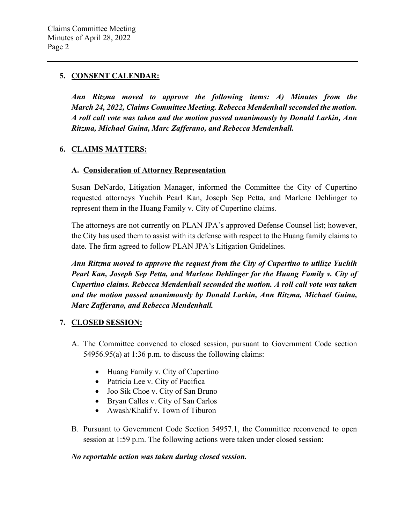### **5. CONSENT CALENDAR:**

*Ann Ritzma moved to approve the following items: A) Minutes from the March 24, 2022, Claims Committee Meeting. Rebecca Mendenhall seconded the motion. A roll call vote was taken and the motion passed unanimously by Donald Larkin, Ann Ritzma, Michael Guina, Marc Zafferano, and Rebecca Mendenhall.*

### **6. CLAIMS MATTERS:**

#### **A. Consideration of Attorney Representation**

Susan DeNardo, Litigation Manager, informed the Committee the City of Cupertino requested attorneys Yuchih Pearl Kan, Joseph Sep Petta, and Marlene Dehlinger to represent them in the Huang Family v. City of Cupertino claims.

The attorneys are not currently on PLAN JPA's approved Defense Counsel list; however, the City has used them to assist with its defense with respect to the Huang family claims to date. The firm agreed to follow PLAN JPA's Litigation Guidelines.

*Ann Ritzma moved to approve the request from the City of Cupertino to utilize Yuchih Pearl Kan, Joseph Sep Petta, and Marlene Dehlinger for the Huang Family v. City of Cupertino claims. Rebecca Mendenhall seconded the motion. A roll call vote was taken and the motion passed unanimously by Donald Larkin, Ann Ritzma, Michael Guina, Marc Zafferano, and Rebecca Mendenhall.* 

### **7. CLOSED SESSION:**

- A. The Committee convened to closed session, pursuant to Government Code section 54956.95(a) at 1:36 p.m. to discuss the following claims:
	- Huang Family v. City of Cupertino
	- Patricia Lee v. City of Pacifica
	- Joo Sik Choe v. City of San Bruno
	- Bryan Calles v. City of San Carlos
	- Awash/Khalif v. Town of Tiburon
- B. Pursuant to Government Code Section 54957.1, the Committee reconvened to open session at 1:59 p.m. The following actions were taken under closed session:

#### *No reportable action was taken during closed session.*